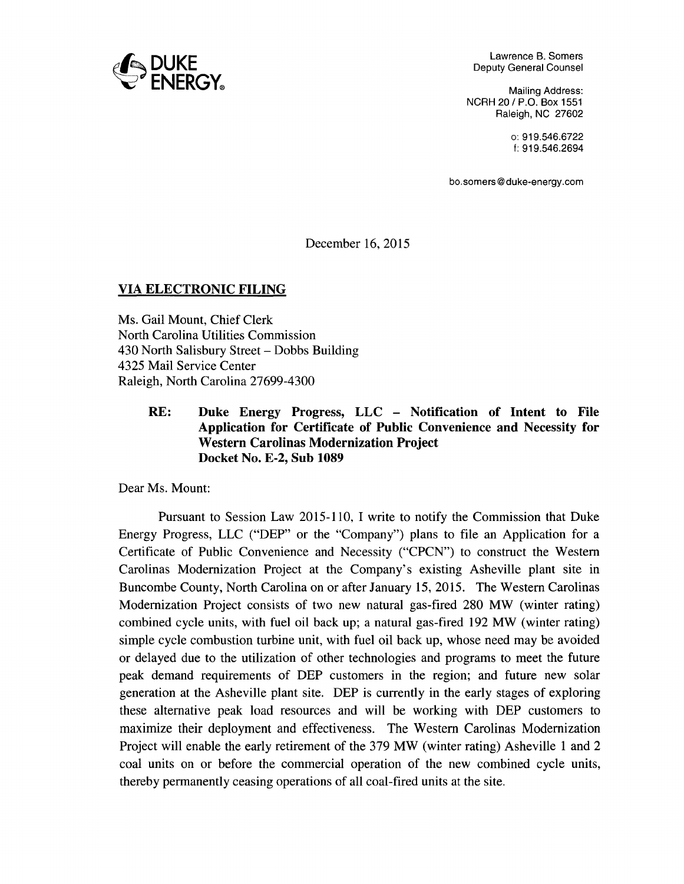

Lawrence B. Somers Deputy General Counsel

Mailing Address: NCRH 20 / P.O. Box 1551 Raleigh, NC 27602

> o: 919.546.6722 f: 919.546.2694

bo.somers@duke-energy.com

December 16, 2015

## VIA ELECTRONIC FILING

Ms. Gail Mount, Chief Clerk North Carolina Utilities Commission 430 North Salisbury Street- Dobbs Building 4325 Mail Service Center Raleigh, North Carolina 27699-4300

> RE: Duke Energy Progress, LLC – Notification of Intent to File Application for Certificate of Public Convenience and Necessity for Western Carolinas Modernization Project Docket No. E-2, Sub 1089

Dear Ms. Mount:

Pursuant to Session Law 2015-110, I write to notify the Commission that Duke Energy Progress, LLC ("DEP" or the "Company") plans to file an Application for a Certificate of Public Convenience and Necessity ("CPCN") to construct the Western Carolinas Modernization Project at the Company's existing Asheville plant site in Buncombe County, North Carolina on or after January 15, 2015. The Western Carolinas Modernization Project consists of two new natural gas-fired 280 MW (winter rating) combined cycle units, with fuel oil back up; a natural gas-fired 192 MW (winter rating) simple cycle combustion turbine unit, with fuel oil back up, whose need may be avoided or delayed due to the utilization of other technologies and programs to meet the future peak demand requirements of DEP customers in the region; and future new solar generation at the Asheville plant site. DEP is currently in the early stages of exploring these alternative peak load resources and will be working with DEP customers to maximize their deployment and effectiveness. The Western Carolinas Modernization Project will enable the early retirement of the 379 MW (winter rating) Asheville 1 and 2 coal units on or before the commercial operation of the new combined cycle units, thereby permanently ceasing operations of all coal-fired units at the site.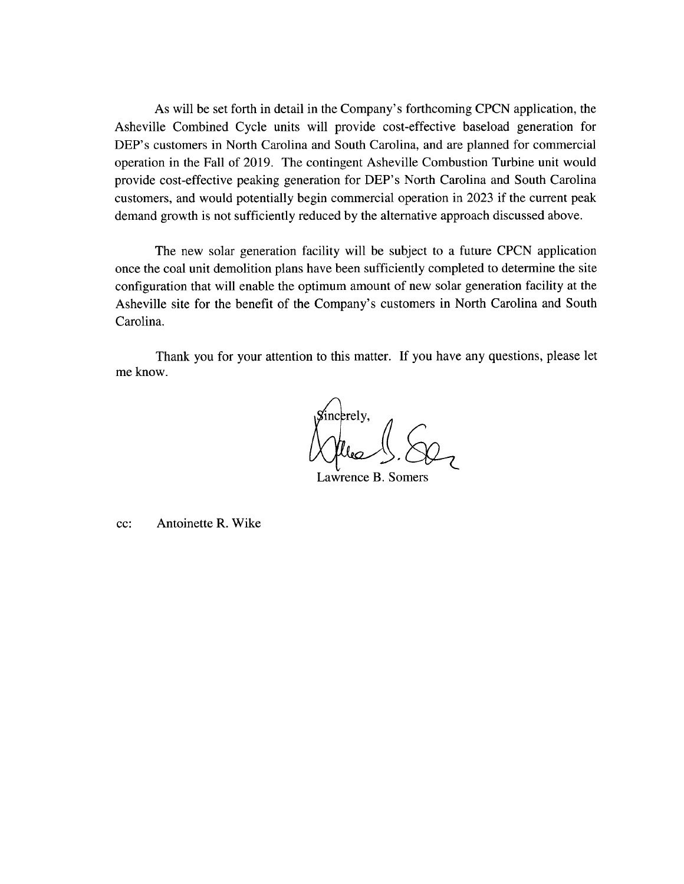As will be set forth in detail in the Company's forthcoming CPCN application, the Asheville Combined Cycle units will provide cost-effective baseload generation for DEP's customers in North Carolina and South Carolina, and are planned for commercial operation in the Fall of 2019. The contingent Asheville Combustion Turbine unit would provide cost-effective peaking generation for DEP's North Carolina and South Carolina customers, and would potentially begin commercial operation in 2023 if the current peak demand growth is not sufficiently reduced by the alternative approach discussed above.

The new solar generation facility will be subject to a future CPCN application once the coal unit demolition plans have been sufficiently completed to determine the site configuration that will enable the optimum amount of new solar generation facility at the Asheville site for the benefit of the Company's customers in North Carolina and South Carolina.

Thank you for your attention to this matter. If you have any questions, please let me know.

ncerely,

Lawrence B. Somers

cc: Antoinette R. Wike